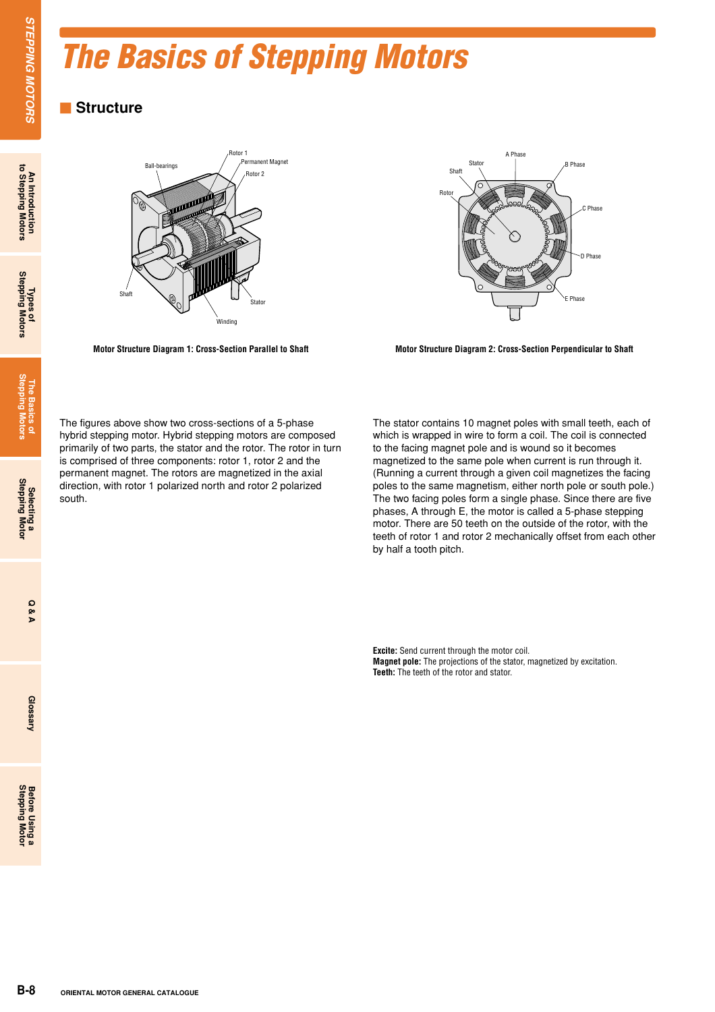# *The Basics of Stepping Motors*

# $\blacksquare$  Structure





Motor Structure Diagram 1: Cross-Section Parallel to Shaft Motor Structure Diagram 2: Cross-Section Perpendicular to Shaft

The figures above show two cross-sections of a 5-phase hybrid stepping motor. Hybrid stepping motors are composed primarily of two parts, the stator and the rotor. The rotor in turn is comprised of three components: rotor 1, rotor 2 and the permanent magnet. The rotors are magnetized in the axial direction, with rotor 1 polarized north and rotor 2 polarized south.

The stator contains 10 magnet poles with small teeth, each of which is wrapped in wire to form a coil. The coil is connected to the facing magnet pole and is wound so it becomes magnetized to the same pole when current is run through it. (Running a current through a given coil magnetizes the facing poles to the same magnetism, either north pole or south pole.) The two facing poles form a single phase. Since there are five phases, A through E, the motor is called a 5-phase stepping motor. There are 50 teeth on the outside of the rotor, with the teeth of rotor 1 and rotor 2 mechanically offset from each other by half a tooth pitch.

**Excite:** Send current through the motor coil. **Magnet pole:** The projections of the stator, magnetized by excitation. **Teeth:** The teeth of the rotor and stator.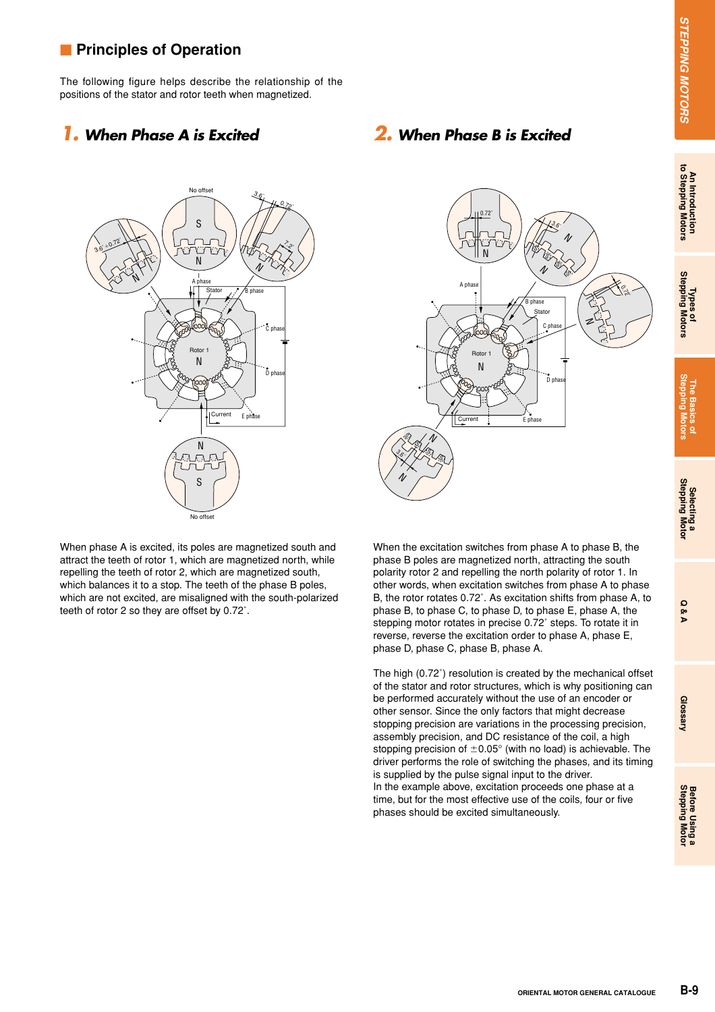# **An Introduction to Stepping Motors**

**Glossary**

# **Principles of Operation**

The following figure helps describe the relationship of the positions of the stator and rotor teeth when magnetized.

# *1. When Phase A is Excited 2. When Phase B is Excited*



 $36·$  $\frac{2}{3}$  $3.6^{\circ}$ S. S S S S  $\mathcal{S}$  $\delta$  $\Omega$ A nh B phase Stator Rotor 1 C phase  $n<sub>ph</sub>$ Current : Fnhase N N N  $\mathcal V$ N  $\mathcal V$ N

0.72˚

When phase A is excited, its poles are magnetized south and attract the teeth of rotor 1, which are magnetized north, while repelling the teeth of rotor 2, which are magnetized south, which balances it to a stop. The teeth of the phase B poles, which are not excited, are misaligned with the south-polarized teeth of rotor 2 so they are offset by 0.72˚.

When the excitation switches from phase A to phase B, the phase B poles are magnetized north, attracting the south polarity rotor 2 and repelling the north polarity of rotor 1. In other words, when excitation switches from phase A to phase B, the rotor rotates 0.72˚. As excitation shifts from phase A, to phase B, to phase C, to phase D, to phase E, phase A, the stepping motor rotates in precise 0.72˚ steps. To rotate it in reverse, reverse the excitation order to phase A, phase E, phase D, phase C, phase B, phase A.

The high (0.72˚) resolution is created by the mechanical offset of the stator and rotor structures, which is why positioning can be performed accurately without the use of an encoder or other sensor. Since the only factors that might decrease stopping precision are variations in the processing precision, assembly precision, and DC resistance of the coil, a high stopping precision of  $\pm$ 0.05° (with no load) is achievable. The driver performs the role of switching the phases, and its timing is supplied by the pulse signal input to the driver.

In the example above, excitation proceeds one phase at a time, but for the most effective use of the coils, four or five phases should be excited simultaneously.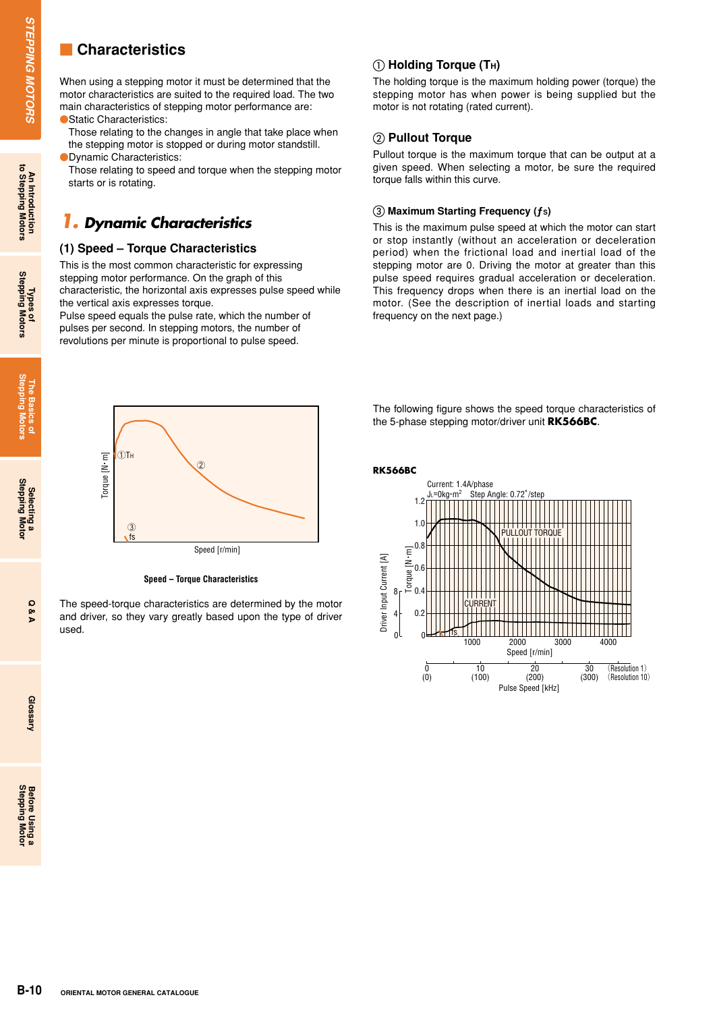# $\blacksquare$  **Characteristics**

When using a stepping motor it must be determined that the motor characteristics are suited to the required load. The two main characteristics of stepping motor performance are: ● Static Characteristics:

Those relating to the changes in angle that take place when the stepping motor is stopped or during motor standstill. **ODynamic Characteristics:** 

Those relating to speed and torque when the stepping motor starts or is rotating.

# *1. Dynamic Characteristics*

#### **(1) Speed – Torque Characteristics**

This is the most common characteristic for expressing stepping motor performance. On the graph of this characteristic, the horizontal axis expresses pulse speed while the vertical axis expresses torque.

Pulse speed equals the pulse rate, which the number of pulses per second. In stepping motors, the number of revolutions per minute is proportional to pulse speed.

## $\circled{\scriptstyle 1}$  Holding Torque (T<sub>H</sub>)

The holding torque is the maximum holding power (torque) the stepping motor has when power is being supplied but the motor is not rotating (rated current).

#### **Pullout Torque**

Pullout torque is the maximum torque that can be output at a given speed. When selecting a motor, be sure the required torque falls within this curve.

#### **Maximum Starting Frequency (ƒS)**

This is the maximum pulse speed at which the motor can start or stop instantly (without an acceleration or deceleration period) when the frictional load and inertial load of the stepping motor are 0. Driving the motor at greater than this pulse speed requires gradual acceleration or deceleration. This frequency drops when there is an inertial load on the motor. (See the description of inertial loads and starting frequency on the next page.)



**Speed – Torque Characteristics**

The speed-torque characteristics are determined by the motor and driver, so they vary greatly based upon the type of driver used.

The following figure shows the speed torque characteristics of the 5-phase stepping motor/driver unit **RK566BC**.



An Introduction<br>to Stepping Motors

Glossary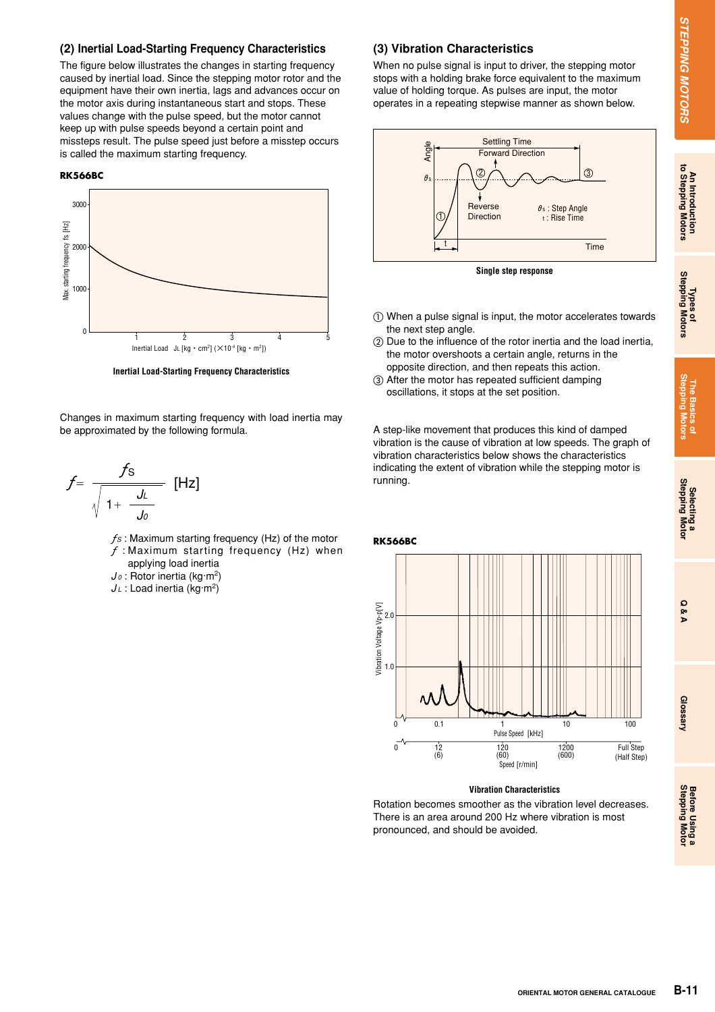# An Introduction<br>to Stepping Motors

#### **(2) Inertial Load-Starting Frequency Characteristics**

The figure below illustrates the changes in starting frequency caused by inertial load. Since the stepping motor rotor and the equipment have their own inertia, lags and advances occur on the motor axis during instantaneous start and stops. These values change with the pulse speed, but the motor cannot keep up with pulse speeds beyond a certain point and missteps result. The pulse speed just before a misstep occurs is called the maximum starting frequency.

#### **RK566BC**



**Inertial Load-Starting Frequency Characteristics**

Changes in maximum starting frequency with load inertia may be approximated by the following formula.

$$
f = \frac{f_{\rm S}}{\sqrt{1 + \frac{J_L}{J_0}}} \quad \text{[Hz]}
$$

*ƒS* : Maximum starting frequency (Hz) of the motor *ƒ* : Maximum starting frequency (Hz) when applying load inertia

- *J <sup>0</sup>* : Rotor inertia (kg·m2)
- *J <sup>L</sup>* : Load inertia (kg·m2)

#### **(3) Vibration Characteristics**

When no pulse signal is input to driver, the stepping motor stops with a holding brake force equivalent to the maximum value of holding torque. As pulses are input, the motor operates in a repeating stepwise manner as shown below.





- When a pulse signal is input, the motor accelerates towards the next step angle.
- Due to the influence of the rotor inertia and the load inertia, the motor overshoots a certain angle, returns in the opposite direction, and then repeats this action.
- After the motor has repeated sufficient damping oscillations, it stops at the set position.

A step-like movement that produces this kind of damped vibration is the cause of vibration at low speeds. The graph of vibration characteristics below shows the characteristics indicating the extent of vibration while the stepping motor is running.



#### **Vibration Characteristics**

Rotation becomes smoother as the vibration level decreases. There is an area around 200 Hz where vibration is most pronounced, and should be avoided.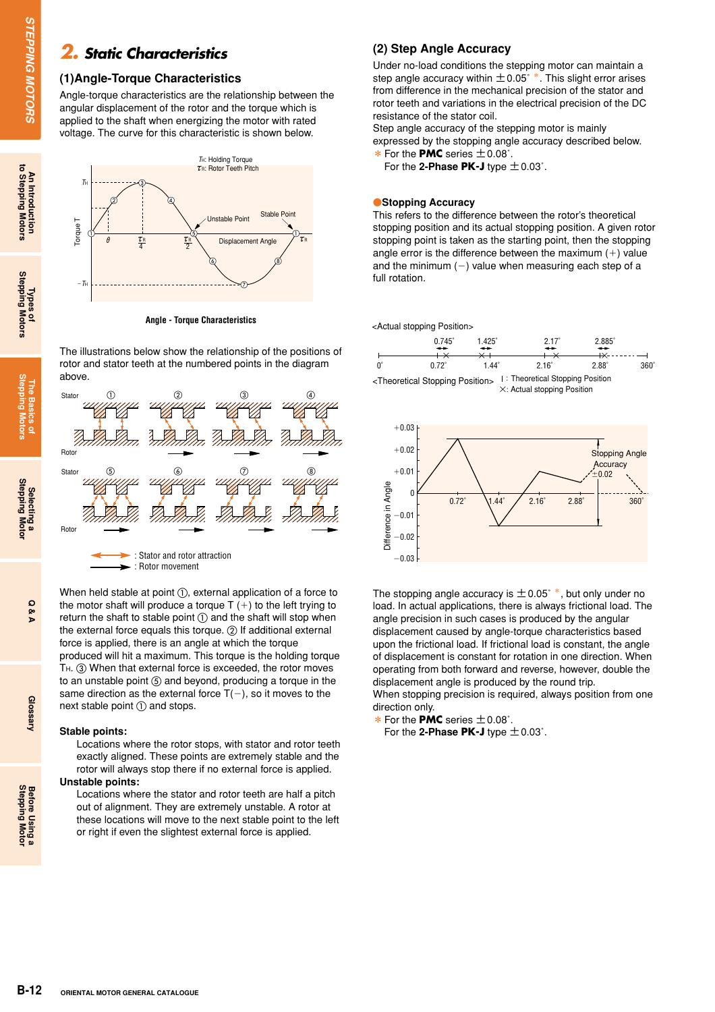## *2. Static Characteristics*

#### **(1)Angle-Torque Characteristics**

Angle-torque characteristics are the relationship between the angular displacement of the rotor and the torque which is applied to the shaft when energizing the motor with rated voltage. The curve for this characteristic is shown below.



The illustrations below show the relationship of the positions of rotor and stator teeth at the numbered points in the diagram



When held stable at point  $\textcircled{\tiny{1}}$ , external application of a force to the motor shaft will produce a torque  $T (+)$  to the left trying to return the shaft to stable point  $\textcircled{\scriptsize{1}}$  and the shaft will stop when the external force equals this torque.  $(2)$  If additional external force is applied, there is an angle at which the torque produced will hit a maximum. This torque is the holding torque TH. 3 When that external force is exceeded, the rotor moves to an unstable point  $(5)$  and beyond, producing a torque in the same direction as the external force  $T(-)$ , so it moves to the next stable point  $\textcircled{\scriptsize{1}}$  and stops.

#### **Stable points:**

Locations where the rotor stops, with stator and rotor teeth exactly aligned. These points are extremely stable and the rotor will always stop there if no external force is applied.

#### **Unstable points:**

Locations where the stator and rotor teeth are half a pitch out of alignment. They are extremely unstable. A rotor at these locations will move to the next stable point to the left or right if even the slightest external force is applied.

#### **(2) Step Angle Accuracy**

Under no-load conditions the stepping motor can maintain a step angle accuracy within  $\pm$  0.05°  $*$ . This slight error arises from difference in the mechanical precision of the stator and rotor teeth and variations in the electrical precision of the DC resistance of the stator coil.

Step angle accuracy of the stepping motor is mainly expressed by the stopping angle accuracy described below. \*For the **PMC** series ±0.08˚.

For the **2-Phase PK-J** type ±0.03˚.

#### **Stopping Accuracy**

This refers to the difference between the rotor's theoretical stopping position and its actual stopping position. A given rotor stopping point is taken as the starting point, then the stopping angle error is the difference between the maximum  $(+)$  value and the minimum  $(-)$  value when measuring each step of a full rotation.

<Actual stopping Position>





The stopping angle accuracy is  $\pm$  0.05° \*, but only under no load. In actual applications, there is always frictional load. The angle precision in such cases is produced by the angular displacement caused by angle-torque characteristics based upon the frictional load. If frictional load is constant, the angle of displacement is constant for rotation in one direction. When operating from both forward and reverse, however, double the displacement angle is produced by the round trip. When stopping precision is required, always position from one

direction only. \*For the **PMC** series ±0.08˚.

For the **2-Phase PK-J** type ±0.03˚.

Glossary